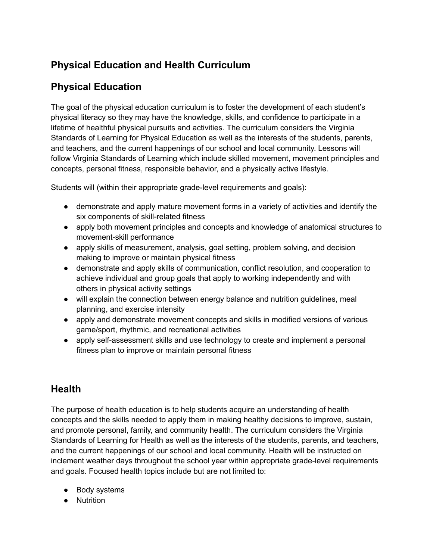## **Physical Education and Health Curriculum**

## **Physical Education**

The goal of the physical education curriculum is to foster the development of each student's physical literacy so they may have the knowledge, skills, and confidence to participate in a lifetime of healthful physical pursuits and activities. The curriculum considers the Virginia Standards of Learning for Physical Education as well as the interests of the students, parents, and teachers, and the current happenings of our school and local community. Lessons will follow Virginia Standards of Learning which include skilled movement, movement principles and concepts, personal fitness, responsible behavior, and a physically active lifestyle.

Students will (within their appropriate grade-level requirements and goals):

- demonstrate and apply mature movement forms in a variety of activities and identify the six components of skill-related fitness
- apply both movement principles and concepts and knowledge of anatomical structures to movement-skill performance
- apply skills of measurement, analysis, goal setting, problem solving, and decision making to improve or maintain physical fitness
- demonstrate and apply skills of communication, conflict resolution, and cooperation to achieve individual and group goals that apply to working independently and with others in physical activity settings
- will explain the connection between energy balance and nutrition guidelines, meal planning, and exercise intensity
- apply and demonstrate movement concepts and skills in modified versions of various game/sport, rhythmic, and recreational activities
- apply self-assessment skills and use technology to create and implement a personal fitness plan to improve or maintain personal fitness

## **Health**

The purpose of health education is to help students acquire an understanding of health concepts and the skills needed to apply them in making healthy decisions to improve, sustain, and promote personal, family, and community health. The curriculum considers the Virginia Standards of Learning for Health as well as the interests of the students, parents, and teachers, and the current happenings of our school and local community. Health will be instructed on inclement weather days throughout the school year within appropriate grade-level requirements and goals. Focused health topics include but are not limited to:

- Body systems
- Nutrition